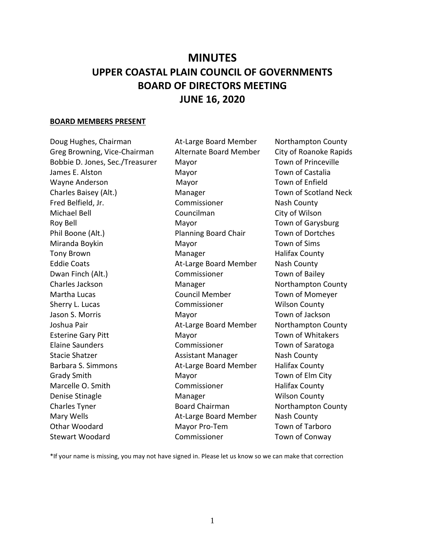# **MINUTES UPPER COASTAL PLAIN COUNCIL OF GOVERNMENTS BOARD OF DIRECTORS MEETING JUNE 16, 2020**

#### **BOARD MEMBERS PRESENT**

Greg Browning, Vice-Chairman Alternate Board Member City of Roanoke Rapids Bobbie D. Jones, Sec./Treasurer Mayor Town of Princeville James E. Alston **Mayor** Mayor **Town of Castalia** Wayne Anderson Mayor Mayor Town of Enfield Charles Baisey (Alt.) **Manager** Town of Scotland Neck Fred Belfield, Jr. Commissioner Nash County Michael Bell Councilman City of Wilson Roy Bell **National Mayor** Mayor **Town of Garysburg** Town of Garysburg Phil Boone (Alt.) **Planning Board Chair** Town of Dortches Miranda Boykin Mayor Town of Sims Tony Brown **Manager** Manager **Halifax County** Eddie Coats **At-Large Board Member** Nash County Dwan Finch (Alt.) Commissioner Town of Bailey Charles Jackson **Manager** Manager Northampton County Martha Lucas Council Member Town of Momeyer Sherry L. Lucas Commissioner Wilson County Jason S. Morris Mayor Town of Jackson Joshua Pair At-Large Board Member Northampton County Esterine Gary Pitt **Mayor** Mayor Town of Whitakers Elaine Saunders Commissioner Town of Saratoga Stacie Shatzer **Assistant Manager** Nash County Barbara S. Simmons **At-Large Board Member** Halifax County Grady Smith **Mayor** Mayor Town of Elm City Marcelle O. Smith Commissioner Halifax County Denise Stinagle Manager Wilson County Charles Tyner **Board Chairman** Northampton County Mary Wells **At-Large Board Member** Nash County Othar Woodard Mayor Pro-Tem Town of Tarboro Stewart Woodard **Commissioner** Town of Conway

Doug Hughes, Chairman At-Large Board Member Northampton County

\*If your name is missing, you may not have signed in. Please let us know so we can make that correction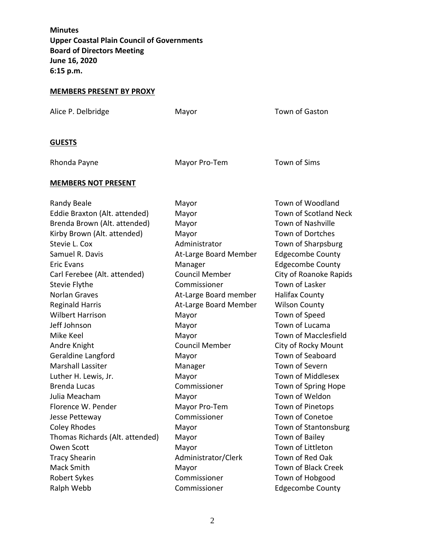# **MEMBERS PRESENT BY PROXY**

| Alice P. Delbridge              | Mayor                        | Town of Gaston               |
|---------------------------------|------------------------------|------------------------------|
|                                 |                              |                              |
| <b>GUESTS</b>                   |                              |                              |
| Rhonda Payne                    | Mayor Pro-Tem                | Town of Sims                 |
| <b>MEMBERS NOT PRESENT</b>      |                              |                              |
| <b>Randy Beale</b>              | Mayor                        | Town of Woodland             |
| Eddie Braxton (Alt. attended)   | Mayor                        | <b>Town of Scotland Neck</b> |
| Brenda Brown (Alt. attended)    | Mayor                        | <b>Town of Nashville</b>     |
| Kirby Brown (Alt. attended)     | Mayor                        | Town of Dortches             |
| Stevie L. Cox                   | Administrator                | Town of Sharpsburg           |
| Samuel R. Davis                 | <b>At-Large Board Member</b> | <b>Edgecombe County</b>      |
| <b>Eric Evans</b>               | Manager                      | <b>Edgecombe County</b>      |
| Carl Ferebee (Alt. attended)    | <b>Council Member</b>        | City of Roanoke Rapids       |
| <b>Stevie Flythe</b>            | Commissioner                 | Town of Lasker               |
| <b>Norlan Graves</b>            | At-Large Board member        | <b>Halifax County</b>        |
| <b>Reginald Harris</b>          | At-Large Board Member        | <b>Wilson County</b>         |
| <b>Wilbert Harrison</b>         | Mayor                        | Town of Speed                |
| Jeff Johnson                    | Mayor                        | Town of Lucama               |
| Mike Keel                       | Mayor                        | <b>Town of Macclesfield</b>  |
| Andre Knight                    | <b>Council Member</b>        | City of Rocky Mount          |
| Geraldine Langford              | Mayor                        | Town of Seaboard             |
| <b>Marshall Lassiter</b>        | Manager                      | Town of Severn               |
| Luther H. Lewis, Jr.            | Mayor                        | Town of Middlesex            |
| <b>Brenda Lucas</b>             | Commissioner                 | Town of Spring Hope          |
| Julia Meacham                   | Mayor                        | Town of Weldon               |
| Florence W. Pender              | Mayor Pro-Tem                | Town of Pinetops             |
| Jesse Petteway                  | Commissioner                 | Town of Conetoe              |
| <b>Coley Rhodes</b>             | Mayor                        | Town of Stantonsburg         |
| Thomas Richards (Alt. attended) | Mayor                        | Town of Bailey               |
| Owen Scott                      | Mayor                        | Town of Littleton            |
| <b>Tracy Shearin</b>            | Administrator/Clerk          | Town of Red Oak              |
| Mack Smith                      | Mayor                        | Town of Black Creek          |
| <b>Robert Sykes</b>             | Commissioner                 | Town of Hobgood              |
| Ralph Webb                      | Commissioner                 | <b>Edgecombe County</b>      |
|                                 |                              |                              |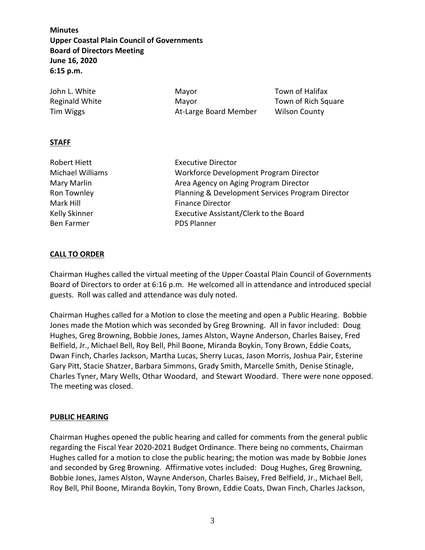| John L. White  | Mavor                 | Town of Halifax      |
|----------------|-----------------------|----------------------|
| Reginald White | Mavor                 | Town of Rich Square  |
| Tim Wiggs      | At-Large Board Member | <b>Wilson County</b> |

#### **STAFF**

| Robert Hiett            | <b>Executive Director</b>                        |
|-------------------------|--------------------------------------------------|
| <b>Michael Williams</b> | Workforce Development Program Director           |
| Mary Marlin             | Area Agency on Aging Program Director            |
| Ron Townley             | Planning & Development Services Program Director |
| Mark Hill               | <b>Finance Director</b>                          |
| Kelly Skinner           | Executive Assistant/Clerk to the Board           |
| Ben Farmer              | <b>PDS Planner</b>                               |
|                         |                                                  |

#### **CALL TO ORDER**

Chairman Hughes called the virtual meeting of the Upper Coastal Plain Council of Governments Board of Directors to order at 6:16 p.m. He welcomed all in attendance and introduced special guests. Roll was called and attendance was duly noted.

Chairman Hughes called for a Motion to close the meeting and open a Public Hearing. Bobbie Jones made the Motion which was seconded by Greg Browning. All in favor included: Doug Hughes, Greg Browning, Bobbie Jones, James Alston, Wayne Anderson, Charles Baisey, Fred Belfield, Jr., Michael Bell, Roy Bell, Phil Boone, Miranda Boykin, Tony Brown, Eddie Coats, Dwan Finch, Charles Jackson, Martha Lucas, Sherry Lucas, Jason Morris, Joshua Pair, Esterine Gary Pitt, Stacie Shatzer, Barbara Simmons, Grady Smith, Marcelle Smith, Denise Stinagle, Charles Tyner, Mary Wells, Othar Woodard, and Stewart Woodard. There were none opposed. The meeting was closed.

#### **PUBLIC HEARING**

Chairman Hughes opened the public hearing and called for comments from the general public regarding the Fiscal Year 2020-2021 Budget Ordinance. There being no comments, Chairman Hughes called for a motion to close the public hearing; the motion was made by Bobbie Jones and seconded by Greg Browning. Affirmative votes included: Doug Hughes, Greg Browning, Bobbie Jones, James Alston, Wayne Anderson, Charles Baisey, Fred Belfield, Jr., Michael Bell, Roy Bell, Phil Boone, Miranda Boykin, Tony Brown, Eddie Coats, Dwan Finch, Charles Jackson,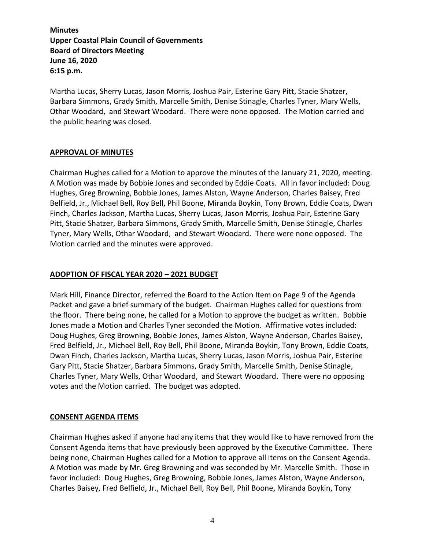Martha Lucas, Sherry Lucas, Jason Morris, Joshua Pair, Esterine Gary Pitt, Stacie Shatzer, Barbara Simmons, Grady Smith, Marcelle Smith, Denise Stinagle, Charles Tyner, Mary Wells, Othar Woodard, and Stewart Woodard. There were none opposed. The Motion carried and the public hearing was closed.

# **APPROVAL OF MINUTES**

Chairman Hughes called for a Motion to approve the minutes of the January 21, 2020, meeting. A Motion was made by Bobbie Jones and seconded by Eddie Coats. All in favor included: Doug Hughes, Greg Browning, Bobbie Jones, James Alston, Wayne Anderson, Charles Baisey, Fred Belfield, Jr., Michael Bell, Roy Bell, Phil Boone, Miranda Boykin, Tony Brown, Eddie Coats, Dwan Finch, Charles Jackson, Martha Lucas, Sherry Lucas, Jason Morris, Joshua Pair, Esterine Gary Pitt, Stacie Shatzer, Barbara Simmons, Grady Smith, Marcelle Smith, Denise Stinagle, Charles Tyner, Mary Wells, Othar Woodard, and Stewart Woodard. There were none opposed. The Motion carried and the minutes were approved.

# **ADOPTION OF FISCAL YEAR 2020 – 2021 BUDGET**

Mark Hill, Finance Director, referred the Board to the Action Item on Page 9 of the Agenda Packet and gave a brief summary of the budget. Chairman Hughes called for questions from the floor. There being none, he called for a Motion to approve the budget as written. Bobbie Jones made a Motion and Charles Tyner seconded the Motion. Affirmative votes included: Doug Hughes, Greg Browning, Bobbie Jones, James Alston, Wayne Anderson, Charles Baisey, Fred Belfield, Jr., Michael Bell, Roy Bell, Phil Boone, Miranda Boykin, Tony Brown, Eddie Coats, Dwan Finch, Charles Jackson, Martha Lucas, Sherry Lucas, Jason Morris, Joshua Pair, Esterine Gary Pitt, Stacie Shatzer, Barbara Simmons, Grady Smith, Marcelle Smith, Denise Stinagle, Charles Tyner, Mary Wells, Othar Woodard, and Stewart Woodard. There were no opposing votes and the Motion carried. The budget was adopted.

## **CONSENT AGENDA ITEMS**

Chairman Hughes asked if anyone had any items that they would like to have removed from the Consent Agenda items that have previously been approved by the Executive Committee. There being none, Chairman Hughes called for a Motion to approve all items on the Consent Agenda. A Motion was made by Mr. Greg Browning and was seconded by Mr. Marcelle Smith. Those in favor included: Doug Hughes, Greg Browning, Bobbie Jones, James Alston, Wayne Anderson, Charles Baisey, Fred Belfield, Jr., Michael Bell, Roy Bell, Phil Boone, Miranda Boykin, Tony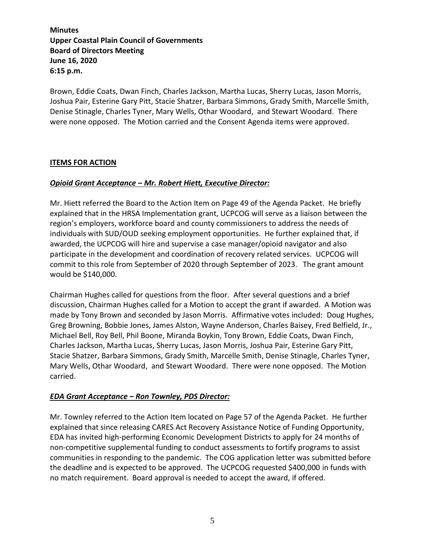Brown, Eddie Coats, Dwan Finch, Charles Jackson, Martha Lucas, Sherry Lucas, Jason Morris, Joshua Pair, Esterine Gary Pitt, Stacie Shatzer, Barbara Simmons, Grady Smith, Marcelle Smith, Denise Stinagle, Charles Tyner, Mary Wells, Othar Woodard, and Stewart Woodard. There were none opposed. The Motion carried and the Consent Agenda items were approved.

## **ITEMS FOR ACTION**

# *Opioid Grant Acceptance – Mr. Robert Hiett, Executive Director:*

Mr. Hiett referred the Board to the Action Item on Page 49 of the Agenda Packet. He briefly explained that in the HRSA Implementation grant, UCPCOG will serve as a liaison between the region's employers, workforce board and county commissioners to address the needs of individuals with SUD/OUD seeking employment opportunities. He further explained that, if awarded, the UCPCOG will hire and supervise a case manager/opioid navigator and also participate in the development and coordination of recovery related services. UCPCOG will commit to this role from September of 2020 through September of 2023. The grant amount would be \$140,000.

Chairman Hughes called for questions from the floor. After several questions and a brief discussion, Chairman Hughes called for a Motion to accept the grant if awarded. A Motion was made by Tony Brown and seconded by Jason Morris. Affirmative votes included: Doug Hughes, Greg Browning, Bobbie Jones, James Alston, Wayne Anderson, Charles Baisey, Fred Belfield, Jr., Michael Bell, Roy Bell, Phil Boone, Miranda Boykin, Tony Brown, Eddie Coats, Dwan Finch, Charles Jackson, Martha Lucas, Sherry Lucas, Jason Morris, Joshua Pair, Esterine Gary Pitt, Stacie Shatzer, Barbara Simmons, Grady Smith, Marcelle Smith, Denise Stinagle, Charles Tyner, Mary Wells, Othar Woodard, and Stewart Woodard. There were none opposed. The Motion carried.

## *EDA Grant Acceptance – Ron Townley, PDS Director:*

Mr. Townley referred to the Action Item located on Page 57 of the Agenda Packet. He further explained that since releasing CARES Act Recovery Assistance Notice of Funding Opportunity, EDA has invited high-performing Economic Development Districts to apply for 24 months of non-competitive supplemental funding to conduct assessments to fortify programs to assist communities in responding to the pandemic. The COG application letter was submitted before the deadline and is expected to be approved. The UCPCOG requested \$400,000 in funds with no match requirement. Board approval is needed to accept the award, if offered.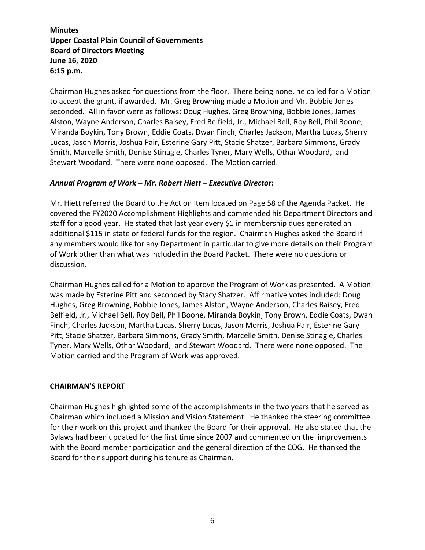Chairman Hughes asked for questions from the floor. There being none, he called for a Motion to accept the grant, if awarded. Mr. Greg Browning made a Motion and Mr. Bobbie Jones seconded. All in favor were as follows: Doug Hughes, Greg Browning, Bobbie Jones, James Alston, Wayne Anderson, Charles Baisey, Fred Belfield, Jr., Michael Bell, Roy Bell, Phil Boone, Miranda Boykin, Tony Brown, Eddie Coats, Dwan Finch, Charles Jackson, Martha Lucas, Sherry Lucas, Jason Morris, Joshua Pair, Esterine Gary Pitt, Stacie Shatzer, Barbara Simmons, Grady Smith, Marcelle Smith, Denise Stinagle, Charles Tyner, Mary Wells, Othar Woodard, and Stewart Woodard. There were none opposed. The Motion carried.

# *Annual Program of Work – Mr. Robert Hiett – Executive Director***:**

Mr. Hiett referred the Board to the Action Item located on Page 58 of the Agenda Packet. He covered the FY2020 Accomplishment Highlights and commended his Department Directors and staff for a good year. He stated that last year every \$1 in membership dues generated an additional \$115 in state or federal funds for the region. Chairman Hughes asked the Board if any members would like for any Department in particular to give more details on their Program of Work other than what was included in the Board Packet. There were no questions or discussion.

Chairman Hughes called for a Motion to approve the Program of Work as presented. A Motion was made by Esterine Pitt and seconded by Stacy Shatzer. Affirmative votes included: Doug Hughes, Greg Browning, Bobbie Jones, James Alston, Wayne Anderson, Charles Baisey, Fred Belfield, Jr., Michael Bell, Roy Bell, Phil Boone, Miranda Boykin, Tony Brown, Eddie Coats, Dwan Finch, Charles Jackson, Martha Lucas, Sherry Lucas, Jason Morris, Joshua Pair, Esterine Gary Pitt, Stacie Shatzer, Barbara Simmons, Grady Smith, Marcelle Smith, Denise Stinagle, Charles Tyner, Mary Wells, Othar Woodard, and Stewart Woodard. There were none opposed. The Motion carried and the Program of Work was approved.

## **CHAIRMAN'S REPORT**

Chairman Hughes highlighted some of the accomplishments in the two years that he served as Chairman which included a Mission and Vision Statement. He thanked the steering committee for their work on this project and thanked the Board for their approval. He also stated that the Bylaws had been updated for the first time since 2007 and commented on the improvements with the Board member participation and the general direction of the COG. He thanked the Board for their support during his tenure as Chairman.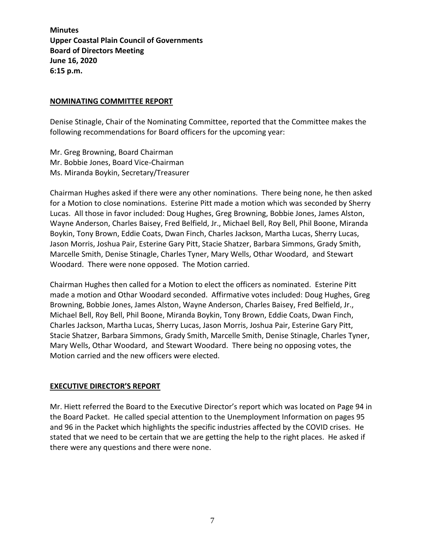#### **NOMINATING COMMITTEE REPORT**

Denise Stinagle, Chair of the Nominating Committee, reported that the Committee makes the following recommendations for Board officers for the upcoming year:

Mr. Greg Browning, Board Chairman Mr. Bobbie Jones, Board Vice-Chairman Ms. Miranda Boykin, Secretary/Treasurer

Chairman Hughes asked if there were any other nominations. There being none, he then asked for a Motion to close nominations. Esterine Pitt made a motion which was seconded by Sherry Lucas. All those in favor included: Doug Hughes, Greg Browning, Bobbie Jones, James Alston, Wayne Anderson, Charles Baisey, Fred Belfield, Jr., Michael Bell, Roy Bell, Phil Boone, Miranda Boykin, Tony Brown, Eddie Coats, Dwan Finch, Charles Jackson, Martha Lucas, Sherry Lucas, Jason Morris, Joshua Pair, Esterine Gary Pitt, Stacie Shatzer, Barbara Simmons, Grady Smith, Marcelle Smith, Denise Stinagle, Charles Tyner, Mary Wells, Othar Woodard, and Stewart Woodard. There were none opposed. The Motion carried.

Chairman Hughes then called for a Motion to elect the officers as nominated. Esterine Pitt made a motion and Othar Woodard seconded. Affirmative votes included: Doug Hughes, Greg Browning, Bobbie Jones, James Alston, Wayne Anderson, Charles Baisey, Fred Belfield, Jr., Michael Bell, Roy Bell, Phil Boone, Miranda Boykin, Tony Brown, Eddie Coats, Dwan Finch, Charles Jackson, Martha Lucas, Sherry Lucas, Jason Morris, Joshua Pair, Esterine Gary Pitt, Stacie Shatzer, Barbara Simmons, Grady Smith, Marcelle Smith, Denise Stinagle, Charles Tyner, Mary Wells, Othar Woodard, and Stewart Woodard. There being no opposing votes, the Motion carried and the new officers were elected.

## **EXECUTIVE DIRECTOR'S REPORT**

Mr. Hiett referred the Board to the Executive Director's report which was located on Page 94 in the Board Packet. He called special attention to the Unemployment Information on pages 95 and 96 in the Packet which highlights the specific industries affected by the COVID crises. He stated that we need to be certain that we are getting the help to the right places. He asked if there were any questions and there were none.